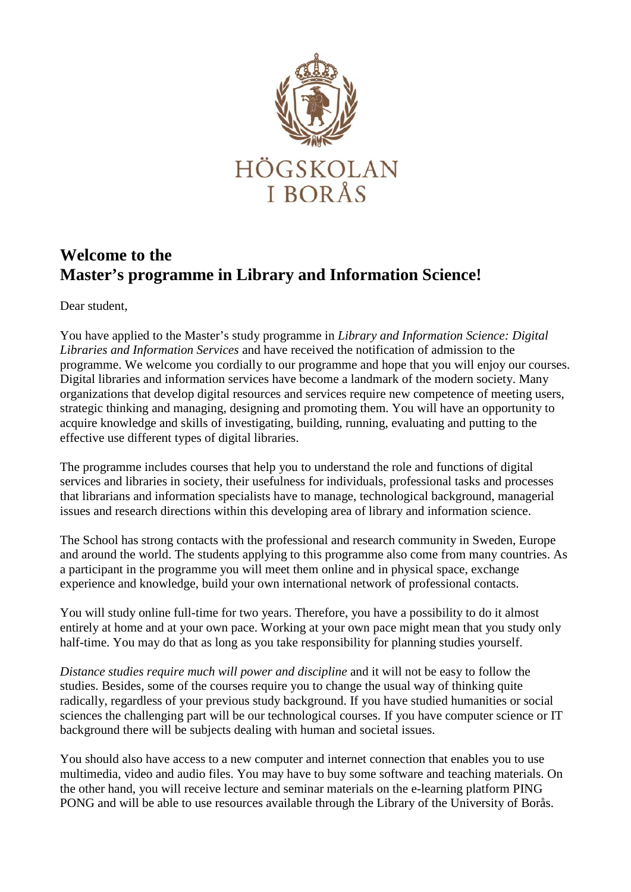

## **Welcome to the Master's programme in Library and Information Science!**

Dear student,

You have applied to the Master's study programme in *Library and Information Science: Digital Libraries and Information Services* and have received the notification of admission to the programme. We welcome you cordially to our programme and hope that you will enjoy our courses. Digital libraries and information services have become a landmark of the modern society. Many organizations that develop digital resources and services require new competence of meeting users, strategic thinking and managing, designing and promoting them. You will have an opportunity to acquire knowledge and skills of investigating, building, running, evaluating and putting to the effective use different types of digital libraries.

The programme includes courses that help you to understand the role and functions of digital services and libraries in society, their usefulness for individuals, professional tasks and processes that librarians and information specialists have to manage, technological background, managerial issues and research directions within this developing area of library and information science.

The School has strong contacts with the professional and research community in Sweden, Europe and around the world. The students applying to this programme also come from many countries. As a participant in the programme you will meet them online and in physical space, exchange experience and knowledge, build your own international network of professional contacts.

You will study online full-time for two years. Therefore, you have a possibility to do it almost entirely at home and at your own pace. Working at your own pace might mean that you study only half-time. You may do that as long as you take responsibility for planning studies yourself.

*Distance studies require much will power and discipline* and it will not be easy to follow the studies. Besides, some of the courses require you to change the usual way of thinking quite radically, regardless of your previous study background. If you have studied humanities or social sciences the challenging part will be our technological courses. If you have computer science or IT background there will be subjects dealing with human and societal issues.

You should also have access to a new computer and internet connection that enables you to use multimedia, video and audio files. You may have to buy some software and teaching materials. On the other hand, you will receive lecture and seminar materials on the e-learning platform PING PONG and will be able to use resources available through the Library of the University of Borås.